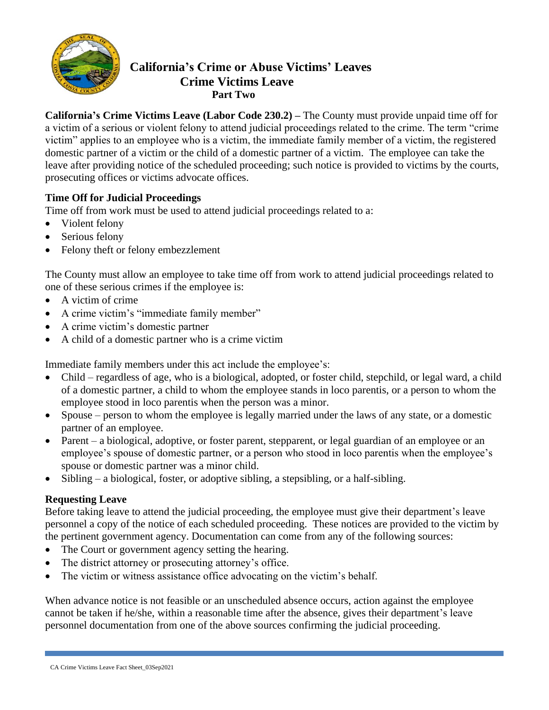

# **California's Crime or Abuse Victims' Leaves Crime Victims Leave Part Two**

**California's Crime Victims Leave (Labor Code 230.2) –** The County must provide unpaid time off for a victim of a serious or violent felony to attend judicial proceedings related to the crime. The term "crime victim" applies to an employee who is a victim, the immediate family member of a victim, the registered domestic partner of a victim or the child of a domestic partner of a victim. The employee can take the leave after providing notice of the scheduled proceeding; such notice is provided to victims by the courts, prosecuting offices or victims advocate offices.

# **Time Off for Judicial Proceedings**

Time off from work must be used to attend judicial proceedings related to a:

- Violent felony
- Serious felony
- Felony theft or felony embezzlement

The County must allow an employee to take time off from work to attend judicial proceedings related to one of these serious crimes if the employee is:

- A victim of crime
- A crime victim's "immediate family member"
- A crime victim's domestic partner
- A child of a domestic partner who is a crime victim

Immediate family members under this act include the employee's:

- Child regardless of age, who is a biological, adopted, or foster child, stepchild, or legal ward, a child of a domestic partner, a child to whom the employee stands in loco parentis, or a person to whom the employee stood in loco parentis when the person was a minor.
- Spouse person to whom the employee is legally married under the laws of any state, or a domestic partner of an employee.
- Parent a biological, adoptive, or foster parent, stepparent, or legal guardian of an employee or an employee's spouse of domestic partner, or a person who stood in loco parentis when the employee's spouse or domestic partner was a minor child.
- Sibling a biological, foster, or adoptive sibling, a stepsibling, or a half-sibling.

### **Requesting Leave**

Before taking leave to attend the judicial proceeding, the employee must give their department's leave personnel a copy of the notice of each scheduled proceeding. These notices are provided to the victim by the pertinent government agency. Documentation can come from any of the following sources:

- The Court or government agency setting the hearing.
- The district attorney or prosecuting attorney's office.
- The victim or witness assistance office advocating on the victim's behalf.

When advance notice is not feasible or an unscheduled absence occurs, action against the employee cannot be taken if he/she, within a reasonable time after the absence, gives their department's leave personnel documentation from one of the above sources confirming the judicial proceeding.